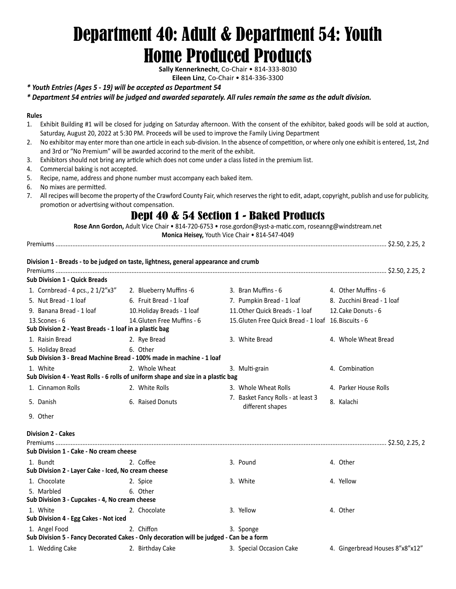# Department 40: Adult & Department 54: Youth Home Produced Products

**Sally Kennerknecht**, Co-Chair • 814-333-8030

**Eileen Linz**, Co-Chair • 814-336-3300

#### *\* Youth Entries (Ages 5 - 19) will be accepted as Department 54*

*\* Department 54 entries will be judged and awarded separately. All rules remain the same as the adult division.*

#### **Rules**

- 1. Exhibit Building #1 will be closed for judging on Saturday afternoon. With the consent of the exhibitor, baked goods will be sold at auction, Saturday, August 20, 2022 at 5:30 PM. Proceeds will be used to improve the Family Living Department
- 2. No exhibitor may enter more than one article in each sub-division. In the absence of competition, or where only one exhibit is entered, 1st, 2nd and 3rd or "No Premium" will be awarded accorind to the merit of the exhibit.
- 3. Exhibitors should not bring any article which does not come under a class listed in the premium list.
- 4. Commercial baking is not accepted.
- 5. Recipe, name, address and phone number must accompany each baked item.
- 6. No mixes are permitted.
- 7. All recipes will become the property of the Crawford County Fair, which reserves the right to edit, adapt, copyright, publish and use for publicity, promotion or advertising without compensation.

# Dept 40 & 54 Section 1 - Baked Products

**Rose Ann Gordon,** Adult Vice Chair • 814-720-6753 • rose.gordon@syst-a-matic.com, roseanng@windstream.net

**Monica Heisey,** Youth Vice Chair • 814-547-4049

Premiums .................................................................................................................................................................................................... \$2.50, 2.25, 2

#### **Division 1 - Breads - to be judged on taste, lightness, general appearance and crumb**

| Sub Division 1 - Quick Breads                           |                                                                                   |                                                        |                            |
|---------------------------------------------------------|-----------------------------------------------------------------------------------|--------------------------------------------------------|----------------------------|
| 1. Cornbread - 4 pcs., 2 1/2"x3"                        | 2. Blueberry Muffins -6                                                           | 3. Bran Muffins - 6                                    | 4. Other Muffins - 6       |
| 5. Nut Bread - 1 loaf                                   | 6. Fruit Bread - 1 loaf                                                           | 7. Pumpkin Bread - 1 loaf                              | 8. Zucchini Bread - 1 loaf |
| 9. Banana Bread - 1 loaf                                | 10. Holiday Breads - 1 loaf                                                       | 11. Other Quick Breads - 1 loaf                        | 12. Cake Donuts - 6        |
| 13. Scones - 6                                          | 14. Gluten Free Muffins - 6                                                       | 15. Gluten Free Quick Bread - 1 loaf 16. Biscuits - 6  |                            |
| Sub Division 2 - Yeast Breads - 1 loaf in a plastic bag |                                                                                   |                                                        |                            |
| 1. Raisin Bread                                         | 2. Rye Bread                                                                      | 3. White Bread                                         | 4. Whole Wheat Bread       |
| 5. Holiday Bread                                        | 6. Other                                                                          |                                                        |                            |
|                                                         | Sub Division 3 - Bread Machine Bread - 100% made in machine - 1 loaf              |                                                        |                            |
| 1. White                                                | 2. Whole Wheat                                                                    | 3. Multi-grain                                         | 4. Combination             |
|                                                         | Sub Division 4 - Yeast Rolls - 6 rolls of uniform shape and size in a plastic bag |                                                        |                            |
| 1. Cinnamon Rolls                                       | 2. White Rolls                                                                    | 3. Whole Wheat Rolls                                   | 4. Parker House Rolls      |
| 5. Danish                                               | 6. Raised Donuts                                                                  | 7. Basket Fancy Rolls - at least 3<br>different shapes | 8. Kalachi                 |
| 9 Other                                                 |                                                                                   |                                                        |                            |

#### **Division 2 - Cakes**

|                                                                                         |                  |                          | \$2.50, 2.25, 2                 |
|-----------------------------------------------------------------------------------------|------------------|--------------------------|---------------------------------|
| Sub Division 1 - Cake - No cream cheese                                                 |                  |                          |                                 |
| 1. Bundt                                                                                | 2. Coffee        | 3. Pound                 | 4. Other                        |
| Sub Division 2 - Layer Cake - Iced, No cream cheese                                     |                  |                          |                                 |
| 1. Chocolate                                                                            | 2. Spice         | 3. White                 | 4. Yellow                       |
| 5. Marbled                                                                              | 6. Other         |                          |                                 |
| Sub Division 3 - Cupcakes - 4, No cream cheese                                          |                  |                          |                                 |
| 1. White                                                                                | 2. Chocolate     | 3. Yellow                | 4. Other                        |
| Sub Division 4 - Egg Cakes - Not iced                                                   |                  |                          |                                 |
| 1. Angel Food                                                                           | 2. Chiffon       | 3. Sponge                |                                 |
| Sub Division 5 - Fancy Decorated Cakes - Only decoration will be judged - Can be a form |                  |                          |                                 |
| 1. Wedding Cake                                                                         | 2. Birthday Cake | 3. Special Occasion Cake | 4. Gingerbread Houses 8"x8"x12" |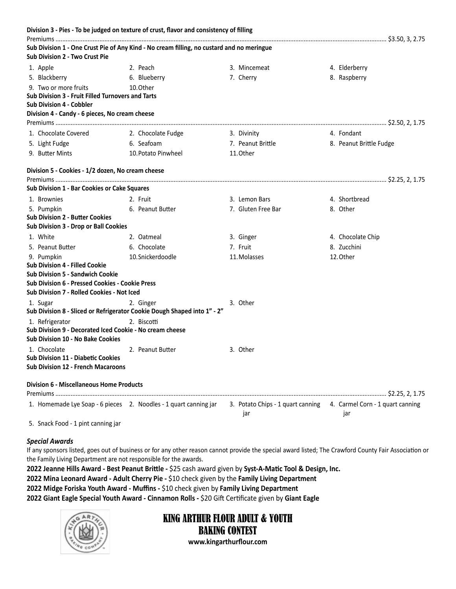|                                                          | Division 3 - Pies - To be judged on texture of crust, flavor and consistency of filling   |                    |                                                                           |
|----------------------------------------------------------|-------------------------------------------------------------------------------------------|--------------------|---------------------------------------------------------------------------|
|                                                          |                                                                                           |                    |                                                                           |
| Sub Division 2 - Two Crust Pie                           | Sub Division 1 - One Crust Pie of Any Kind - No cream filling, no custard and no meringue |                    |                                                                           |
| 1. Apple                                                 | 2. Peach                                                                                  | 3. Mincemeat       | 4. Elderberry                                                             |
| 5. Blackberry                                            | 6. Blueberry                                                                              | 7. Cherry          | 8. Raspberry                                                              |
| 9. Two or more fruits                                    | 10. Other                                                                                 |                    |                                                                           |
| <b>Sub Division 3 - Fruit Filled Turnovers and Tarts</b> |                                                                                           |                    |                                                                           |
| <b>Sub Division 4 - Cobbler</b>                          |                                                                                           |                    |                                                                           |
| Division 4 - Candy - 6 pieces, No cream cheese           |                                                                                           |                    |                                                                           |
|                                                          |                                                                                           |                    |                                                                           |
| 1. Chocolate Covered                                     | 2. Chocolate Fudge                                                                        | 3. Divinity        | 4. Fondant                                                                |
| 5. Light Fudge                                           | 6. Seafoam                                                                                | 7. Peanut Brittle  | 8. Peanut Brittle Fudge                                                   |
| 9. Butter Mints                                          | 10. Potato Pinwheel                                                                       | 11. Other          |                                                                           |
| Division 5 - Cookies - 1/2 dozen, No cream cheese        |                                                                                           |                    |                                                                           |
|                                                          |                                                                                           |                    |                                                                           |
| Sub Division 1 - Bar Cookies or Cake Squares             |                                                                                           |                    |                                                                           |
| 1. Brownies                                              | 2. Fruit                                                                                  | 3. Lemon Bars      | 4. Shortbread                                                             |
| 5. Pumpkin                                               | 6. Peanut Butter                                                                          | 7. Gluten Free Bar | 8. Other                                                                  |
| <b>Sub Division 2 - Butter Cookies</b>                   |                                                                                           |                    |                                                                           |
| Sub Division 3 - Drop or Ball Cookies                    |                                                                                           |                    |                                                                           |
| 1. White                                                 | 2. Oatmeal                                                                                | 3. Ginger          | 4. Chocolate Chip                                                         |
| 5. Peanut Butter                                         | 6. Chocolate                                                                              | 7. Fruit           | 8. Zucchini                                                               |
| 9. Pumpkin                                               | 10. Snickerdoodle                                                                         | 11. Molasses       | 12. Other                                                                 |
| <b>Sub Division 4 - Filled Cookie</b>                    |                                                                                           |                    |                                                                           |
| <b>Sub Division 5 - Sandwich Cookie</b>                  |                                                                                           |                    |                                                                           |
| <b>Sub Division 6 - Pressed Cookies - Cookie Press</b>   |                                                                                           |                    |                                                                           |
| Sub Division 7 - Rolled Cookies - Not Iced               |                                                                                           |                    |                                                                           |
| 1. Sugar                                                 | 2. Ginger<br>Sub Division 8 - Sliced or Refrigerator Cookie Dough Shaped into 1" - 2"     | 3. Other           |                                                                           |
| 1. Refrigerator                                          | 2. Biscotti                                                                               |                    |                                                                           |
| Sub Division 9 - Decorated Iced Cookie - No cream cheese |                                                                                           |                    |                                                                           |
| Sub Division 10 - No Bake Cookies                        |                                                                                           |                    |                                                                           |
| 1. Chocolate                                             | 2. Peanut Butter                                                                          | 3. Other           |                                                                           |
| Sub Division 11 - Diabetic Cookies                       |                                                                                           |                    |                                                                           |
| <b>Sub Division 12 - French Macaroons</b>                |                                                                                           |                    |                                                                           |
| <b>Division 6 - Miscellaneous Home Products</b>          |                                                                                           |                    |                                                                           |
|                                                          |                                                                                           |                    |                                                                           |
|                                                          | 1. Homemade Lye Soap - 6 pieces 2. Noodles - 1 quart canning jar                          | jar                | 3. Potato Chips - 1 quart canning 4. Carmel Corn - 1 quart canning<br>jar |
| 5. Snack Food - 1 pint canning jar                       |                                                                                           |                    |                                                                           |

#### *Special Awards*

If any sponsors listed, goes out of business or for any other reason cannot provide the special award listed; The Crawford County Fair Association or the Family Living Department are not responsible for the awards.

**2022 Jeanne Hills Award - Best Peanut Brittle -** \$25 cash award given by **Syst-A-Matic Tool & Design, Inc.**

**2022 Mina Leonard Award - Adult Cherry Pie -** \$10 check given by the **Family Living Department**

**2022 Midge Foriska Youth Award - Muffins -** \$10 check given by **Family Living Department**

**2022 Giant Eagle Special Youth Award - Cinnamon Rolls -** \$20 Gift Certificate given by **Giant Eagle**



# KING ARTHUR FLOUR ADULT & YOUTH BAKING CONTEST

**www.kingarthurflour.com**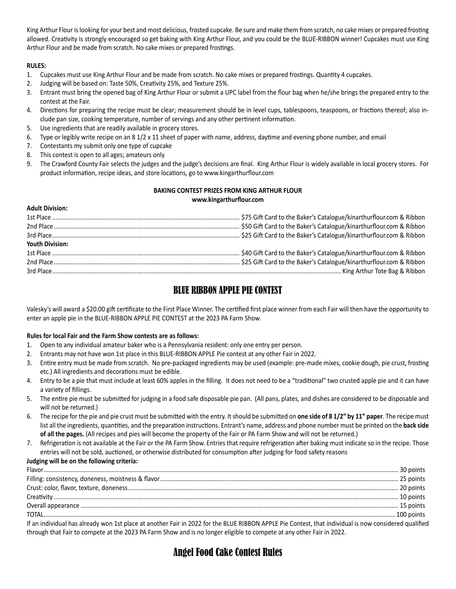King Arthur Flour is looking for your best and most delicious, frosted cupcake. Be sure and make them from scratch, no cake mixes or prepared frosting allowed. Creativity is strongly encouraged so get baking with King Arthur Flour, and you could be the BLUE-RIBBON winner! Cupcakes must use King Arthur Flour and be made from scratch. No cake mixes or prepared frostings.

#### **RULES:**

- 1. Cupcakes must use King Arthur Flour and be made from scratch. No cake mixes or prepared frostings. Quantity 4 cupcakes.
- 2. Judging will be based on: Taste 50%, Creativity 25%, and Texture 25%.
- 3. Entrant must bring the opened bag of King Arthur Flour or submit a UPC label from the flour bag when he/she brings the prepared entry to the contest at the Fair.
- 4. Directions for preparing the recipe must be clear; measurement should be in level cups, tablespoons, teaspoons, or fractions thereof; also include pan size, cooking temperature, number of servings and any other pertinent information.
- 5. Use ingredients that are readily available in grocery stores.
- 6. Type or legibly write recipe on an 8 1/2 x 11 sheet of paper with name, address, daytime and evening phone number, and email
- 7. Contestants my submit only one type of cupcake
- 8. This contest is open to all ages; amateurs only
- 9. The Crawford County Fair selects the judges and the judge's decisions are final. King Arthur Flour is widely available in local grocery stores. For product information, recipe ideas, and store locations, go to www.kingarthurflour.com

#### **BAKING CONTEST PRIZES FROM KING ARTHUR FLOUR www.kingarthurflour.com**

#### **Adult Division:**

| <b>Youth Division:</b> |  |
|------------------------|--|
|                        |  |
|                        |  |
|                        |  |

### BLUE RIBBON APPLE PIE CONTEST

Valesky's will award a \$20.00 gift certificate to the First Place Winner. The certified first place winner from each Fair will then have the opportunity to enter an apple pie in the BLUE-RIBBON APPLE PIE CONTEST at the 2023 PA Farm Show.

#### **Rules for local Fair and the Farm Show contests are as follows:**

- 1. Open to any individual amateur baker who is a Pennsylvania resident: only one entry per person.
- 2. Entrants may not have won 1st place in this BLUE-RIBBON APPLE Pie contest at any other Fair in 2022.
- 3. Entire entry must be made from scratch. No pre-packaged ingredients may be used (example: pre-made mixes, cookie dough, pie crust, frosting etc.) All ingredients and decorations must be edible.
- 4. Entry to be a pie that must include at least 60% apples in the filling. It does not need to be a "traditional" two crusted apple pie and it can have a variety of fillings.
- 5. The entire pie must be submitted for judging in a food safe disposable pie pan. (All pans, plates, and dishes are considered to be disposable and will not be returned.)
- 6. The recipe for the pie and pie crust must be submitted with the entry. It should be submitted on **one side of 8 1/2" by 11" paper**. The recipe must list all the ingredients, quantities, and the preparation instructions. Entrant's name, address and phone number must be printed on the **back side of all the pages.** (All recipes and pies will become the property of the Fair or PA Farm Show and will not be returned.)
- 7. Refrigeration is not available at the Fair or the PA Farm Show. Entries that require refrigeration after baking must indicate so in the recipe. Those entries will not be sold, auctioned, or otherwise distributed for consumption after judging for food safety reasons

#### **Judging will be on the following criteria:**

| If an individual has already won 1st place at another Fair in 2022 for the BLUE RIBBON APPLE Pie Contest, that individual is now considered qualified |  |
|-------------------------------------------------------------------------------------------------------------------------------------------------------|--|

through that Fair to compete at the 2023 PA Farm Show and is no longer eligible to compete at any other Fair in 2022.

## Angel Food Cake Contest Rules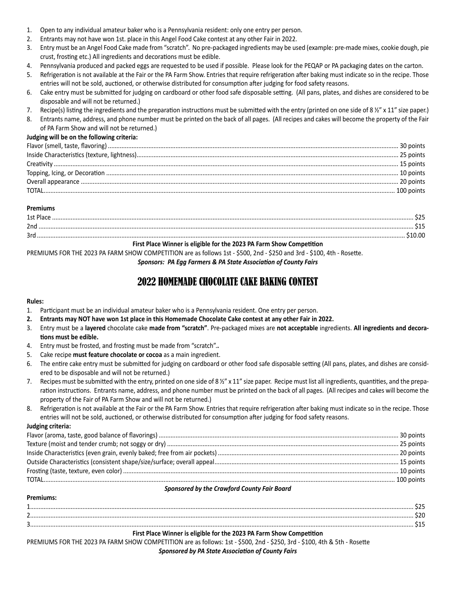- 1. Open to any individual amateur baker who is a Pennsylvania resident: only one entry per person.
- 2. Entrants may not have won 1st. place in this Angel Food Cake contest at any other Fair in 2022.
- 3. Entry must be an Angel Food Cake made from "scratch". No pre-packaged ingredients may be used (example: pre-made mixes, cookie dough, pie crust, frosting etc.) All ingredients and decorations must be edible.
- 4. Pennsylvania produced and packed eggs are requested to be used if possible. Please look for the PEQAP or PA packaging dates on the carton.
- 5. Refrigeration is not available at the Fair or the PA Farm Show. Entries that require refrigeration after baking must indicate so in the recipe. Those entries will not be sold, auctioned, or otherwise distributed for consumption after judging for food safety reasons.
- 6. Cake entry must be submitted for judging on cardboard or other food safe disposable setting. (All pans, plates, and dishes are considered to be disposable and will not be returned.)
- 7. Recipe(s) listing the ingredients and the preparation instructions must be submitted with the entry (printed on one side of 8  $\frac{1}{2}$  x 11" size paper.)
- 8. Entrants name, address, and phone number must be printed on the back of all pages. (All recipes and cakes will become the property of the Fair of PA Farm Show and will not be returned.)

#### **Judging will be on the following criteria:**

| TOTAI | 100 points |
|-------|------------|

#### **Premiums**

| .<br>Jnc |  |
|----------|--|
| 2r       |  |
| .<br>__  |  |

#### **First Place Winner is eligible for the 2023 PA Farm Show Competition**

PREMIUMS FOR THE 2023 PA FARM SHOW COMPETITION are as follows 1st - \$500, 2nd - \$250 and 3rd - \$100, 4th - Rosette.

*Sponsors: PA Egg Farmers & PA State Association of County Fairs*

# 2022 HOMEMADE CHOCOLATE CAKE BAKING CONTEST

#### **Rules:**

- 1. Participant must be an individual amateur baker who is a Pennsylvania resident. One entry per person.
- **2. Entrants may NOT have won 1st place in this Homemade Chocolate Cake contest at any other Fair in 2022.**
- 3. Entry must be a **layered** chocolate cake **made from "scratch"**. Pre-packaged mixes are **not acceptable** ingredients. **All ingredients and decorations must be edible.**
- 4. Entry must be frosted, and frosting must be made from "scratch".**.**
- 5. Cake recipe **must feature chocolate or cocoa** as a main ingredient.
- 6. The entire cake entry must be submitted for judging on cardboard or other food safe disposable setting (All pans, plates, and dishes are considered to be disposable and will not be returned.)
- 7. Recipes must be submitted with the entry, printed on one side of 8 ½" x 11" size paper. Recipe must list all ingredients, quantities, and the preparation instructions. Entrants name, address, and phone number must be printed on the back of all pages. (All recipes and cakes will become the property of the Fair of PA Farm Show and will not be returned.)
- 8. Refrigeration is not available at the Fair or the PA Farm Show. Entries that require refrigeration after baking must indicate so in the recipe. Those entries will not be sold, auctioned, or otherwise distributed for consumption after judging for food safety reasons.

#### **Judging criteria:**

**Premiums:**

#### *Sponsored by the Crawford County Fair Board*

| First Place Winner is eligible for the 2023 PA Farm Show Competition |
|----------------------------------------------------------------------|
|                                                                      |
|                                                                      |
|                                                                      |
|                                                                      |

PREMIUMS FOR THE 2023 PA FARM SHOW COMPETITION are as follows: 1st - \$500, 2nd - \$250, 3rd - \$100, 4th & 5th - Rosette

#### *Sponsored by PA State Association of County Fairs*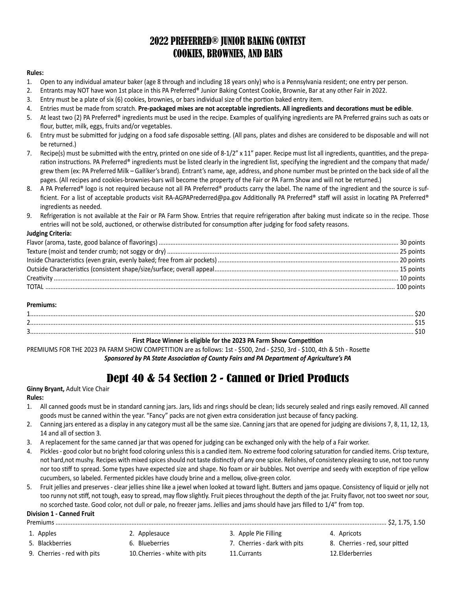# 2022 PREFERRED® JUNIOR BAKING CONTEST COOKIES, BROWNIES, AND BARS

#### **Rules:**

- 1. Open to any individual amateur baker (age 8 through and including 18 years only) who is a Pennsylvania resident; one entry per person.
- 2. Entrants may NOT have won 1st place in this PA Preferred® Junior Baking Contest Cookie, Brownie, Bar at any other Fair in 2022.
- 3. Entry must be a plate of six (6) cookies, brownies, or bars individual size of the portion baked entry item.
- 4. Entries must be made from scratch. **Pre-packaged mixes are not acceptable ingredients. All ingredients and decorations must be edible**.
- 5. At least two (2) PA Preferred® ingredients must be used in the recipe. Examples of qualifying ingredients are PA Preferred grains such as oats or flour, butter, milk, eggs, fruits and/or vegetables.
- 6. Entry must be submitted for judging on a food safe disposable setting. (All pans, plates and dishes are considered to be disposable and will not be returned.)
- 7. Recipe(s) must be submitted with the entry, printed on one side of 8-1/2" x 11" paper. Recipe must list all ingredients, quantities, and the preparation instructions. PA Preferred® ingredients must be listed clearly in the ingredient list, specifying the ingredient and the company that made/ grew them (ex: PA Preferred Milk – Galliker's brand). Entrant's name, age, address, and phone number must be printed on the back side of all the pages. (All recipes and cookies-brownies-bars will become the property of the Fair or PA Farm Show and will not be returned.)
- 8. A PA Preferred® logo is not required because not all PA Preferred® products carry the label. The name of the ingredient and the source is sufficient. For a list of acceptable products visit RA-AGPAPrederred@pa.gov Additionally PA Preferred® staff will assist in locating PA Preferred® ingredients as needed.
- 9. Refrigeration is not available at the Fair or PA Farm Show. Entries that require refrigeration after baking must indicate so in the recipe. Those entries will not be sold, auctioned, or otherwise distributed for consumption after judging for food safety reasons.

#### **Judging Criteria:**

#### **Premiums:**

#### **First Place Winner is eligible for the 2023 PA Farm Show Competition**

PREMIUMS FOR THE 2023 PA FARM SHOW COMPETITION are as follows: 1st - \$500, 2nd - \$250, 3rd - \$100, 4th & 5th - Rosette *Sponsored by PA State Association of County Fairs and PA Department of Agriculture's PA*

# Dept 40 & 54 Section 2 - Canned or Dried Products

#### **Ginny Bryant,** Adult Vice Chair

#### **Rules:**

- 1. All canned goods must be in standard canning jars. Jars, lids and rings should be clean; lids securely sealed and rings easily removed. All canned goods must be canned within the year. "Fancy" packs are not given extra consideration just because of fancy packing.
- 2. Canning jars entered as a display in any category must all be the same size. Canning jars that are opened for judging are divisions 7, 8, 11, 12, 13, 14 and all of section 3.
- 3. A replacement for the same canned jar that was opened for judging can be exchanged only with the help of a Fair worker.
- 4. Pickles good color but no bright food coloring unless this is a candied item. No extreme food coloring saturation for candied items. Crisp texture, not hard,not mushy. Recipes with mixed spices should not taste distinctly of any one spice. Relishes, of consistency pleasing to use, not too runny nor too stiff to spread. Some types have expected size and shape. No foam or air bubbles. Not overripe and seedy with exception of ripe yellow cucumbers, so labeled. Fermented pickles have cloudy brine and a mellow, olive-green color.
- 5. Fruit jellies and preserves clear jellies shine like a jewel when looked at toward light. Butters and jams opaque. Consistency of liquid or jelly not too runny not stiff, not tough, easy to spread, may flow slightly. Fruit pieces throughout the depth of the jar. Fruity flavor, not too sweet nor sour, no scorched taste. Good color, not dull or pale, no freezer jams. Jellies and jams should have jars filled to 1/4" from top.

#### **Division 1 - Canned Fruit**

- Premiums .................................................................................................................................................................................................... \$2, 1.75, 1.50
- -
- 
- 
- 9. Cherries red with pits 10.Cherries white with pits 11.Currants 12.Elderberries
- 1. Apples 1. Applesauce 2. Applesauce 3. Apple Pie Filling 3. Apple Pie Filling 4. Apricots
	-
	-
- 5. Blackberries 6. Blueberries 6. Blueberries 1. Cherries dark with pits 8. Cherries red, sour pitted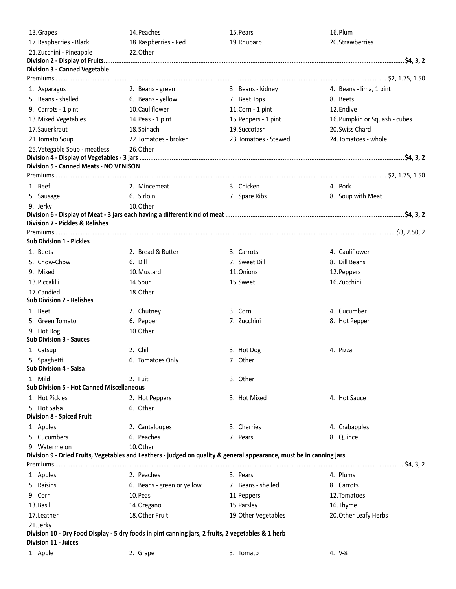| 13. Grapes                                       | 14. Peaches                                                                                                          | 15. Pears             | 16.Plum                       |
|--------------------------------------------------|----------------------------------------------------------------------------------------------------------------------|-----------------------|-------------------------------|
| 17. Raspberries - Black                          | 18. Raspberries - Red                                                                                                | 19. Rhubarb           | 20. Strawberries              |
| 21. Zucchini - Pineapple                         | 22. Other                                                                                                            |                       |                               |
|                                                  |                                                                                                                      |                       |                               |
| <b>Division 3 - Canned Vegetable</b>             |                                                                                                                      |                       |                               |
|                                                  |                                                                                                                      |                       |                               |
| 1. Asparagus                                     | 2. Beans - green                                                                                                     | 3. Beans - kidney     | 4. Beans - lima, 1 pint       |
| 5. Beans - shelled                               | 6. Beans - yellow                                                                                                    | 7. Beet Tops          | 8. Beets                      |
| 9. Carrots - 1 pint                              | 10. Cauliflower                                                                                                      | 11. Corn - 1 pint     | 12. Endive                    |
| 13. Mixed Vegetables                             | 14. Peas - 1 pint                                                                                                    | 15. Peppers - 1 pint  | 16. Pumpkin or Squash - cubes |
| 17. Sauerkraut                                   | 18. Spinach                                                                                                          | 19. Succotash         | 20. Swiss Chard               |
| 21. Tomato Soup                                  | 22. Tomatoes - broken                                                                                                | 23. Tomatoes - Stewed | 24. Tomatoes - whole          |
| 25. Vetegable Soup - meatless                    | 26.Other                                                                                                             |                       |                               |
| <b>Division 5 - Canned Meats - NO VENISON</b>    |                                                                                                                      |                       |                               |
|                                                  |                                                                                                                      |                       |                               |
| 1. Beef                                          | 2. Mincemeat                                                                                                         | 3. Chicken            | 4. Pork                       |
| 5. Sausage                                       | 6. Sirloin                                                                                                           | 7. Spare Ribs         | 8. Soup with Meat             |
| 9. Jerky                                         | 10. Other                                                                                                            |                       |                               |
|                                                  |                                                                                                                      |                       |                               |
| <b>Division 7 - Pickles &amp; Relishes</b>       |                                                                                                                      |                       |                               |
|                                                  |                                                                                                                      |                       |                               |
| <b>Sub Division 1 - Pickles</b>                  |                                                                                                                      |                       |                               |
| 1. Beets                                         | 2. Bread & Butter                                                                                                    | 3. Carrots            | 4. Cauliflower                |
| 5. Chow-Chow                                     | 6. Dill                                                                                                              | 7. Sweet Dill         | 8. Dill Beans                 |
| 9. Mixed                                         | 10. Mustard                                                                                                          | 11. Onions            | 12. Peppers                   |
| 13. Piccalilli                                   | 14.Sour                                                                                                              | 15.Sweet              | 16. Zucchini                  |
| 17. Candied<br><b>Sub Division 2 - Relishes</b>  | 18. Other                                                                                                            |                       |                               |
| 1. Beet                                          | 2. Chutney                                                                                                           | 3. Corn               | 4. Cucumber                   |
| 5. Green Tomato                                  | 6. Pepper                                                                                                            | 7. Zucchini           | 8. Hot Pepper                 |
| 9. Hot Dog                                       | 10. Other                                                                                                            |                       |                               |
| <b>Sub Division 3 - Sauces</b>                   |                                                                                                                      |                       |                               |
| 1. Catsup                                        | 2. Chili                                                                                                             | 3. Hot Dog            | 4. Pizza                      |
| 5. Spaghetti                                     | 6. Tomatoes Only                                                                                                     | 7. Other              |                               |
| <b>Sub Division 4 - Salsa</b>                    |                                                                                                                      |                       |                               |
| 1. Mild                                          | 2. Fuit                                                                                                              | 3. Other              |                               |
| <b>Sub Division 5 - Hot Canned Miscellaneous</b> |                                                                                                                      |                       |                               |
| 1. Hot Pickles                                   | 2. Hot Peppers                                                                                                       | 3. Hot Mixed          | 4. Hot Sauce                  |
| 5. Hot Salsa                                     | 6. Other                                                                                                             |                       |                               |
| <b>Division 8 - Spiced Fruit</b>                 |                                                                                                                      |                       |                               |
| 1. Apples                                        | 2. Cantaloupes                                                                                                       | 3. Cherries           | 4. Crabapples                 |
| 5. Cucumbers                                     | 6. Peaches                                                                                                           | 7. Pears              | 8. Quince                     |
| 9. Watermelon                                    | 10. Other                                                                                                            |                       |                               |
|                                                  | Division 9 - Dried Fruits, Vegetables and Leathers - judged on quality & general appearance, must be in canning jars |                       |                               |
|                                                  |                                                                                                                      |                       |                               |
| 1. Apples                                        | 2. Peaches                                                                                                           | 3. Pears              | 4. Plums                      |
| 5. Raisins                                       | 6. Beans - green or yellow                                                                                           | 7. Beans - shelled    | 8. Carrots                    |
| 9. Corn                                          | 10. Peas                                                                                                             | 11. Peppers           | 12. Tomatoes                  |
| 13. Basil                                        | 14. Oregano                                                                                                          | 15. Parsley           | 16. Thyme                     |
| 17. Leather                                      | 18. Other Fruit                                                                                                      | 19. Other Vegetables  | 20. Other Leafy Herbs         |
| 21.Jerky                                         | Division 10 - Dry Food Display - 5 dry foods in pint canning jars, 2 fruits, 2 vegetables & 1 herb                   |                       |                               |
| Division 11 - Juices                             |                                                                                                                      |                       |                               |
| 1. Apple                                         | 2. Grape                                                                                                             | 3. Tomato             | 4. V-8                        |
|                                                  |                                                                                                                      |                       |                               |